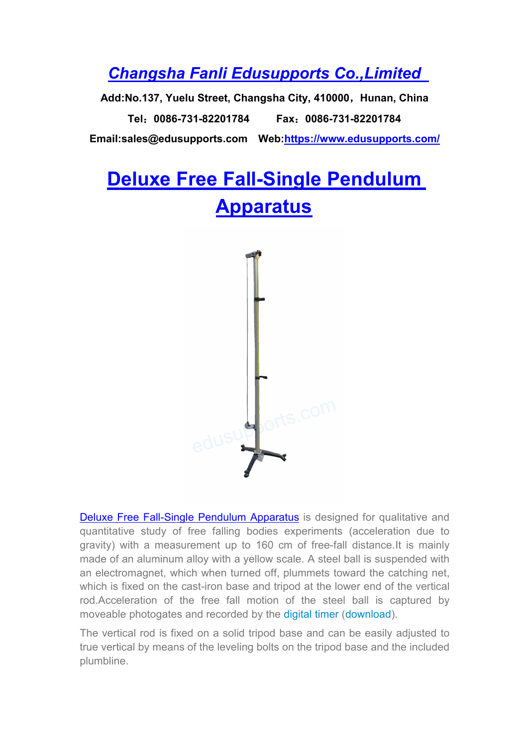## *Changsha Fanli [Edusupports](https://www.edusupports.com/) Co.,Limited*

**Add:No.137, Yuelu Street, Changsha City, 410000**,**Hunan, China Tel**:**0086-731-82201784 Fax**:**0086-731-82201784 Email:sales@edusupports.com Web:<https://www.edusupports.com/>**

## **Deluxe Free [Fall-Single](https://www.edusupports.com/product/deluxe-free-fall-single-pendulum-apparatus/) Pendulum Apparatus**



Deluxe Free [Fall-Single](https://www.edusupports.com/product/deluxe-free-fall-single-pendulum-apparatus/) Pendulum Apparatus is designed for qualitative and quantitative study of free falling bodies experiments (acceleration due to gravity) with a measurement up to 160 cm of free-fall distance.It is mainly made of an aluminum alloy with a yellow scale. A steel ball is suspended with an electromagnet, which when turned off, plummets toward the catching net, which is fixed on the cast-iron base and tripod at the lower end of the vertical rod.Acceleration of the free fall motion of the steel ball is captured by moveable photogates and recorded by the [digital](https://www.edusupports.com/product/digital-timers-with-photogates/) timer ([download](https://www.edusupports.com/wp-content/uploads/sites/9/2021/11/Digital-Timers-With-Photogates.pdf)).

The vertical rod is fixed on a solid tripod base and can be easily adjusted to true vertical by means of the leveling bolts on the tripod base and the included plumbline.